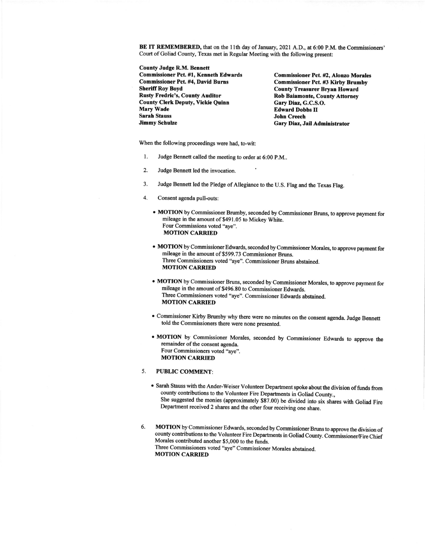BE IT REMEMBERED, that on the l lth day of January, 2O2l A.D., at 6:00 P.M. the Commissioners' Court of Goliad County, Texas met in Regular Meeting with the following present:

**County Judge R.M. Bennett** Commissioner Pct. #1, Kenneth Edwards Commissioner Pct. #4, David Burns Sheriff Roy Boyd Rusty Fredric's, County Auditor County Clerk Deputy, Vickie Quinn Mary Wade Sarah Stauss Jimmy Schulze

Commissioner Pct. #2, Alonzo Morales Commissioner Pct. #3 Kirby Brumby **County Treasurer Bryan Howard** Rob Baiamonte, County Attorney Gary Diaz, G.C.S.O. Edward Dobbs II John Creech Gary Diaz, Jail Administrator

When the following proceedings were had, to-wit:

- 1. Judge Bennett called the meeting to order at 6:00 P.M..
- 2. Judge Bennett led the invocation.
- 3. Judge Bennett led the Pledge of Allegiance to the U.S. Flag and the Texas Flag.
- 4. Consent agenda pull-outs:
	- MOTION by Commissioner Brumby, seconded by Commissioner Bruns, to approve payment for mileage in the amount of \$491.05 to Mickey White. Four Commissions voted "aye". **MOTION CARRIED**
	- MOTION by Commissioner Edwards, seconded by Commissioner Morales, to approve payment for mileage in the amount of \$599.73 Commissioner Bruns. Three Commissioners voted "aye". Commissioner Bruns abstained. MOTION CARRIED
	- MOTION by Commissioner Bruns, seconded by Commissioner Morales, to approve payment for mileage in the amount of \$496.80 to Commissioner Edwards. Three Commissioners voted "aye". Commissioner Edwards abstained. **MOTION CARRIED**
	- Commissioner Kirby Brumby why there were no minutes on the consent agenda. Judge Bennett told the Commissioners there were none presented
	- o MOTION by Commissioner Morales, seconded by Commissioner Edwards to approve the remainder of the consent agenda. Four Commissioners voted "ave". MOTION CARRIED

## PUBLIC COMMENT:  $5<sub>1</sub>$

- Sarah Stauss with the Ander-Weiser Volunteer Department spoke about the division of funds from county contributions to the Volunteer Fire Departments in Goliad County., She suggested the monies (approximately \$87.00) be divided into six shares with Goliad Fire Department received 2 shares and the other four receiving one share.
- 6. MOTION by Commissioner Edwards, seconded by Commissioner Bruns to approve the division of county contributions to the Volunteer Fire Departnents in Goliad County. Commissioner/Fire Chief Morales contributed another \$5,000 to the funds. Three Commissioners voted "aye" Commissioner Morales abstained. MOTION CARRIED